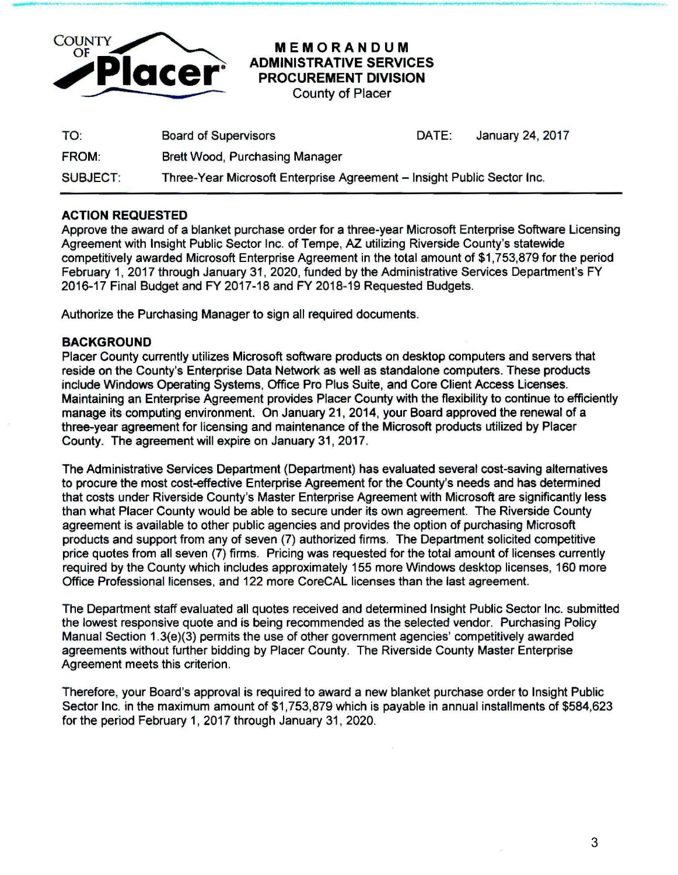

## MEMORANDUM ADMINISTRATIVE SERVICES PROCUREMENT DIVISION

-----------------~------.. ------------------------------------------------·-- --------

County of Placer

| TO:             | <b>Board of Supervisors</b>                                            | DATE: | January 24, 2017 |
|-----------------|------------------------------------------------------------------------|-------|------------------|
| <b>FROM:</b>    | Brett Wood, Purchasing Manager                                         |       |                  |
| <b>SUBJECT:</b> | Three-Year Microsoft Enterprise Agreement - Insight Public Sector Inc. |       |                  |

## ACTION REQUESTED

Approve the award of a blanket purchase order for a three-year Microsoft Enterprise Software Licensing Agreement with Insight Public Sector Inc. of Tempe, AZ utilizing Riverside County's statewide competitively awarded Microsoft Enterprise Agreement in the total amount of \$1,753,879 for the period February 1, 2017 through January 31 , 2020, funded by the Administrative Services Department's FY 2016-17 Final Budget and FY 2017-18 and FY 2018-19 Requested Budgets.

Authorize the Purchasing Manager to sign all required documents.

## BACKGROUND

Placer County currently utilizes Microsoft software products on desktop computers and servers that reside on the County's Enterprise Data Network as well as standalone computers. These products include Windows Operating Systems, Office Pro Plus Suite, and Core Client Access Licenses. Maintaining an Enterprise Agreement provides Placer County with the flexibility to continue to efficiently manage its computing environment. On January 21, 2014, your Board approved the renewal of a three-year agreement for licensing and maintenance of the Microsoft products utilized by Placer County. The agreement will expire on January 31,2017.

The Administrative Services Department (Department) has evaluated several cost-saving alternatives to procure the most cost-effective Enterprise Agreement for the County's needs and has determined that costs under Riverside County's Master Enterprise Agreement with Microsoft are significantly less than what Placer County would be able to secure under its own agreement. The Riverside County agreement is available to other public agencies and provides the option of purchasing Microsoft products and support from any of seven (7) authorized firms. The Department solicited competitive price quotes from all seven (7) firms. Pricing was requested for the total amount of licenses currently required by the County which includes approximately 155 more Windows desktop licenses, 160 more Office Professional licenses, and 122 more CoreCAL licenses than the last agreement.

The Department staff evaluated all quotes received and determined Insight Public Sector Inc. submitted the lowest responsive quote and is being recommended as the selected vendor. Purchasing Policy Manual Section 1.3(e)(3) permits the use of other government agencies' competitively awarded agreements without further bidding by Placer County. The Riverside County Master Enterprise Agreement meets this criterion.

Therefore, your Board's approval is required to award a new blanket purchase order to Insight Public Sector Inc. in the maximum amount of \$1,753,879 which is payable in annual installments of \$584,623 for the period February 1, 2017 through January 31, 2020.